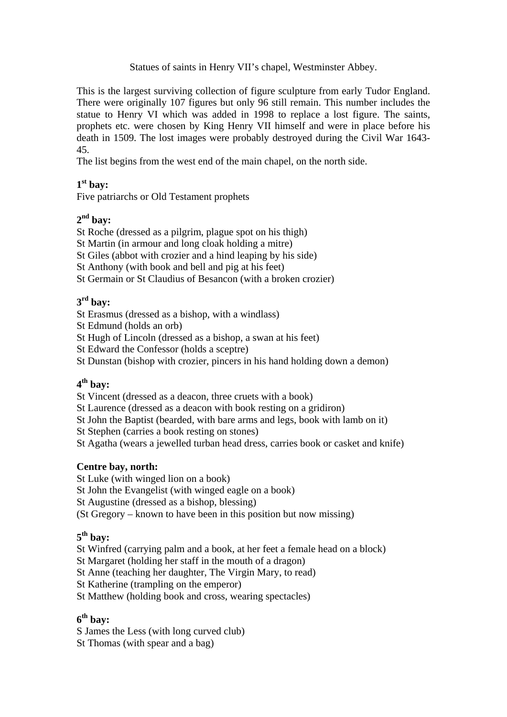### Statues of saints in Henry VII's chapel, Westminster Abbey.

This is the largest surviving collection of figure sculpture from early Tudor England. There were originally 107 figures but only 96 still remain. This number includes the statue to Henry VI which was added in 1998 to replace a lost figure. The saints, prophets etc. were chosen by King Henry VII himself and were in place before his death in 1509. The lost images were probably destroyed during the Civil War 1643- 45.

The list begins from the west end of the main chapel, on the north side.

# **1st bay:**

Five patriarchs or Old Testament prophets

## **2nd bay:**

St Roche (dressed as a pilgrim, plague spot on his thigh)

St Martin (in armour and long cloak holding a mitre)

St Giles (abbot with crozier and a hind leaping by his side)

St Anthony (with book and bell and pig at his feet)

St Germain or St Claudius of Besancon (with a broken crozier)

# **3rd bay:**

St Erasmus (dressed as a bishop, with a windlass)

St Edmund (holds an orb)

St Hugh of Lincoln (dressed as a bishop, a swan at his feet)

St Edward the Confessor (holds a sceptre)

St Dunstan (bishop with crozier, pincers in his hand holding down a demon)

# **4th bay:**

St Vincent (dressed as a deacon, three cruets with a book)

St Laurence (dressed as a deacon with book resting on a gridiron)

St John the Baptist (bearded, with bare arms and legs, book with lamb on it)

St Stephen (carries a book resting on stones)

St Agatha (wears a jewelled turban head dress, carries book or casket and knife)

## **Centre bay, north:**

St Luke (with winged lion on a book)

St John the Evangelist (with winged eagle on a book)

St Augustine (dressed as a bishop, blessing)

(St Gregory – known to have been in this position but now missing)

# **5th bay:**

St Winfred (carrying palm and a book, at her feet a female head on a block)

St Margaret (holding her staff in the mouth of a dragon)

St Anne (teaching her daughter, The Virgin Mary, to read)

St Katherine (trampling on the emperor)

St Matthew (holding book and cross, wearing spectacles)

# **6th bay:**

S James the Less (with long curved club)

St Thomas (with spear and a bag)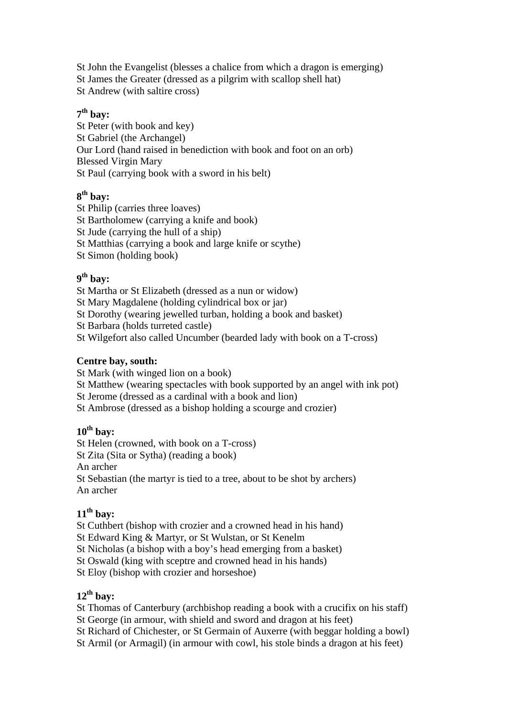St John the Evangelist (blesses a chalice from which a dragon is emerging) St James the Greater (dressed as a pilgrim with scallop shell hat) St Andrew (with saltire cross)

## **7th bay:**

St Peter (with book and key) St Gabriel (the Archangel) Our Lord (hand raised in benediction with book and foot on an orb) Blessed Virgin Mary St Paul (carrying book with a sword in his belt)

## **8th bay:**

St Philip (carries three loaves)

St Bartholomew (carrying a knife and book)

St Jude (carrying the hull of a ship)

St Matthias (carrying a book and large knife or scythe)

St Simon (holding book)

# **9th bay:**

St Martha or St Elizabeth (dressed as a nun or widow)

St Mary Magdalene (holding cylindrical box or jar)

St Dorothy (wearing jewelled turban, holding a book and basket)

St Barbara (holds turreted castle)

St Wilgefort also called Uncumber (bearded lady with book on a T-cross)

#### **Centre bay, south:**

St Mark (with winged lion on a book)

St Matthew (wearing spectacles with book supported by an angel with ink pot)

St Jerome (dressed as a cardinal with a book and lion)

St Ambrose (dressed as a bishop holding a scourge and crozier)

# **10th bay:**

St Helen (crowned, with book on a T-cross)

St Zita (Sita or Sytha) (reading a book)

An archer

St Sebastian (the martyr is tied to a tree, about to be shot by archers) An archer

## **11th bay:**

St Cuthbert (bishop with crozier and a crowned head in his hand)

St Edward King & Martyr, or St Wulstan, or St Kenelm

St Nicholas (a bishop with a boy's head emerging from a basket)

St Oswald (king with sceptre and crowned head in his hands)

St Eloy (bishop with crozier and horseshoe)

# **12th bay:**

St Thomas of Canterbury (archbishop reading a book with a crucifix on his staff)

St George (in armour, with shield and sword and dragon at his feet)

St Richard of Chichester, or St Germain of Auxerre (with beggar holding a bowl)

St Armil (or Armagil) (in armour with cowl, his stole binds a dragon at his feet)